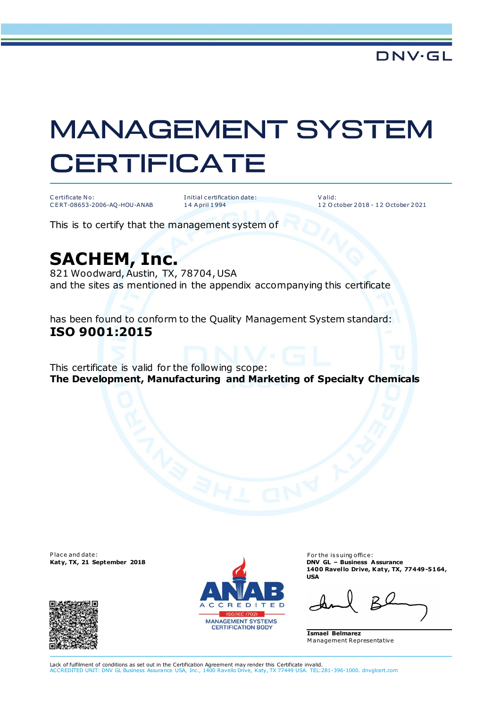## **MANAGEMENT SYSTEM CERTIFICATE**

Certificate No: CERT-08653-2006-AQ-HOU-ANAB Initial certification date: 14 A pril 1994

 $ValA'$ 12 October 2018 - 12 October 2021

This is to certify that the management system of

## **SACHEM, Inc.**

821 Woodward, Austin, TX, 78704, USA and the sites as mentioned in the appendix accompanying this certificate

has been found to conform to the Quality Management System standard: ISO 9001:2015

This certificate is valid for the following scope: The Development, Manufacturing and Marketing of Specialty Chemicals

Place and date: Katy, TX, 21 September 2018





For the issuing office: **DNV GL - Business Assurance** 1400 Ravello Drive, Katy, TX, 77449-5164, **USA** 

**Ismael Belmarez** Management Representative

Lack of fulfilment of conditions as set out in the Certification Agreement may render this Certificate invalid. nce USA, Inc., 1400 Ravello Drive, Katy, TX 77449 USA. TEL:281-396-1000. dnvglcert.com **ACCREDITED UNIT: DNV GL But**